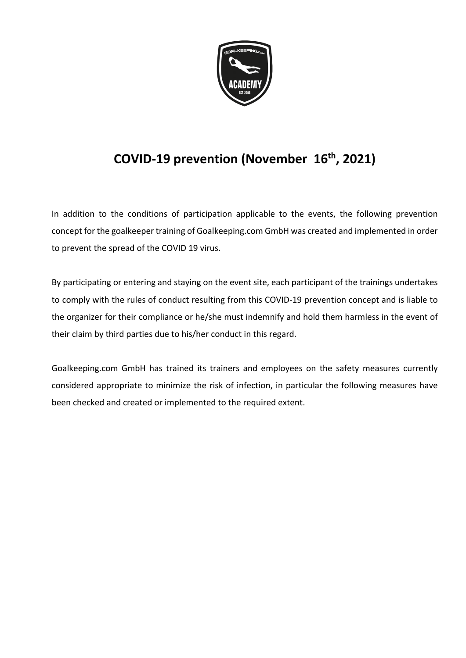

# **COVID-19 prevention (November 16th , 2021)**

In addition to the conditions of participation applicable to the events, the following prevention concept for the goalkeeper training of Goalkeeping.com GmbH was created and implemented in order to prevent the spread of the COVID 19 virus.

By participating or entering and staying on the event site, each participant of the trainings undertakes to comply with the rules of conduct resulting from this COVID-19 prevention concept and is liable to the organizer for their compliance or he/she must indemnify and hold them harmless in the event of their claim by third parties due to his/her conduct in this regard.

Goalkeeping.com GmbH has trained its trainers and employees on the safety measures currently considered appropriate to minimize the risk of infection, in particular the following measures have been checked and created or implemented to the required extent.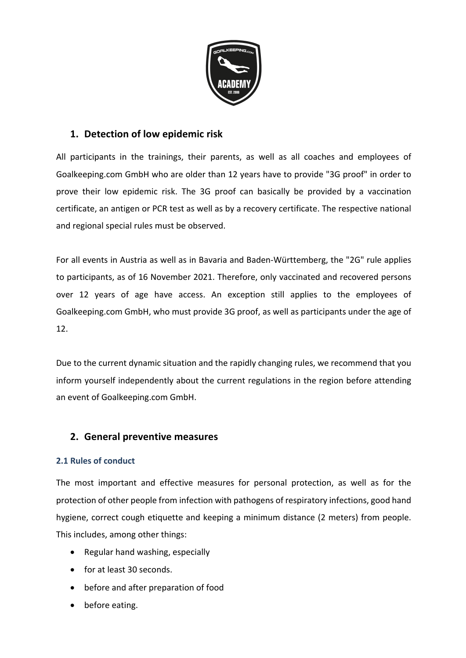

# **1. Detection of low epidemic risk**

All participants in the trainings, their parents, as well as all coaches and employees of Goalkeeping.com GmbH who are older than 12 years have to provide "3G proof" in order to prove their low epidemic risk. The 3G proof can basically be provided by a vaccination certificate, an antigen or PCR test as well as by a recovery certificate. The respective national and regional special rules must be observed.

For all events in Austria as well as in Bavaria and Baden-Württemberg, the "2G" rule applies to participants, as of 16 November 2021. Therefore, only vaccinated and recovered persons over 12 years of age have access. An exception still applies to the employees of Goalkeeping.com GmbH, who must provide 3G proof, as well as participants under the age of 12.

Due to the current dynamic situation and the rapidly changing rules, we recommend that you inform yourself independently about the current regulations in the region before attending an event of Goalkeeping.com GmbH.

# **2. General preventive measures**

#### **2.1 Rules of conduct**

The most important and effective measures for personal protection, as well as for the protection of other people from infection with pathogens of respiratory infections, good hand hygiene, correct cough etiquette and keeping a minimum distance (2 meters) from people. This includes, among other things:

- Regular hand washing, especially
- for at least 30 seconds.
- before and after preparation of food
- before eating.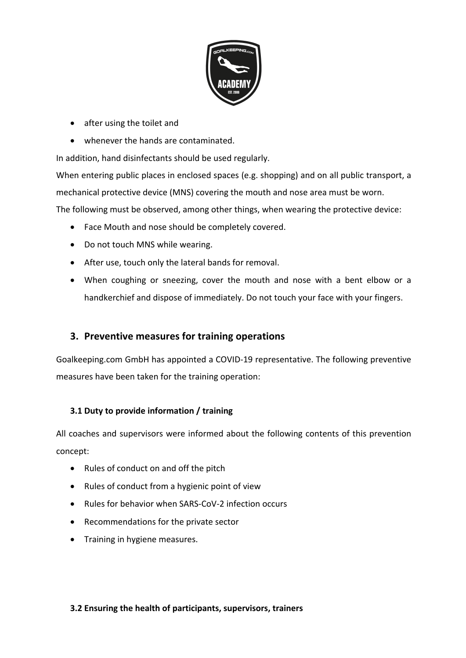

- after using the toilet and
- whenever the hands are contaminated.

In addition, hand disinfectants should be used regularly.

When entering public places in enclosed spaces (e.g. shopping) and on all public transport, a mechanical protective device (MNS) covering the mouth and nose area must be worn. The following must be observed, among other things, when wearing the protective device:

- Face Mouth and nose should be completely covered.
- Do not touch MNS while wearing.
- After use, touch only the lateral bands for removal.
- When coughing or sneezing, cover the mouth and nose with a bent elbow or a handkerchief and dispose of immediately. Do not touch your face with your fingers.

# **3. Preventive measures for training operations**

Goalkeeping.com GmbH has appointed a COVID-19 representative. The following preventive measures have been taken for the training operation:

#### **3.1 Duty to provide information / training**

All coaches and supervisors were informed about the following contents of this prevention concept:

- Rules of conduct on and off the pitch
- Rules of conduct from a hygienic point of view
- Rules for behavior when SARS-CoV-2 infection occurs
- Recommendations for the private sector
- Training in hygiene measures.

#### **3.2 Ensuring the health of participants, supervisors, trainers**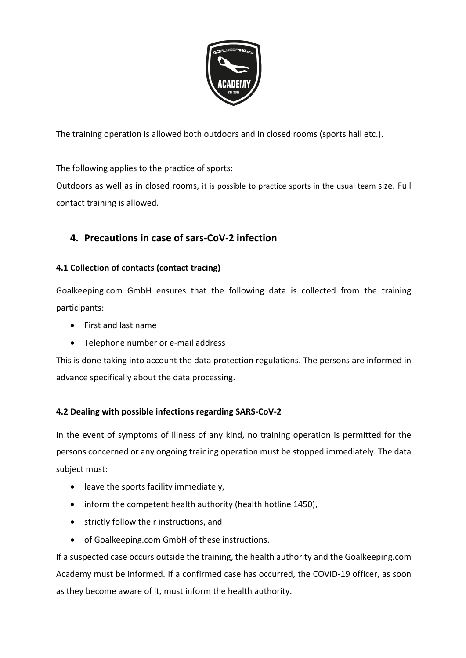

The training operation is allowed both outdoors and in closed rooms (sports hall etc.).

The following applies to the practice of sports:

Outdoors as well as in closed rooms, it is possible to practice sports in the usual team size. Full contact training is allowed.

# **4. Precautions in case of sars-CoV-2 infection**

#### **4.1 Collection of contacts (contact tracing)**

Goalkeeping.com GmbH ensures that the following data is collected from the training participants:

- First and last name
- Telephone number or e-mail address

This is done taking into account the data protection regulations. The persons are informed in advance specifically about the data processing.

#### **4.2 Dealing with possible infections regarding SARS-CoV-2**

In the event of symptoms of illness of any kind, no training operation is permitted for the persons concerned or any ongoing training operation must be stopped immediately. The data subject must:

- leave the sports facility immediately,
- inform the competent health authority (health hotline 1450),
- strictly follow their instructions, and
- of Goalkeeping.com GmbH of these instructions.

If a suspected case occurs outside the training, the health authority and the Goalkeeping.com Academy must be informed. If a confirmed case has occurred, the COVID-19 officer, as soon as they become aware of it, must inform the health authority.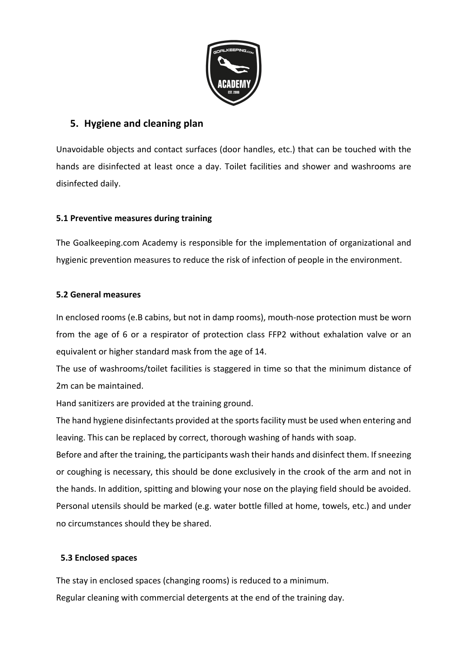

# **5. Hygiene and cleaning plan**

Unavoidable objects and contact surfaces (door handles, etc.) that can be touched with the hands are disinfected at least once a day. Toilet facilities and shower and washrooms are disinfected daily.

#### **5.1 Preventive measures during training**

The Goalkeeping.com Academy is responsible for the implementation of organizational and hygienic prevention measures to reduce the risk of infection of people in the environment.

#### **5.2 General measures**

In enclosed rooms (e.B cabins, but not in damp rooms), mouth-nose protection must be worn from the age of 6 or a respirator of protection class FFP2 without exhalation valve or an equivalent or higher standard mask from the age of 14.

The use of washrooms/toilet facilities is staggered in time so that the minimum distance of 2m can be maintained.

Hand sanitizers are provided at the training ground.

The hand hygiene disinfectants provided at the sports facility must be used when entering and leaving. This can be replaced by correct, thorough washing of hands with soap.

Before and after the training, the participants wash their hands and disinfect them. If sneezing or coughing is necessary, this should be done exclusively in the crook of the arm and not in the hands. In addition, spitting and blowing your nose on the playing field should be avoided. Personal utensils should be marked (e.g. water bottle filled at home, towels, etc.) and under no circumstances should they be shared.

#### **5.3 Enclosed spaces**

The stay in enclosed spaces (changing rooms) is reduced to a minimum. Regular cleaning with commercial detergents at the end of the training day.